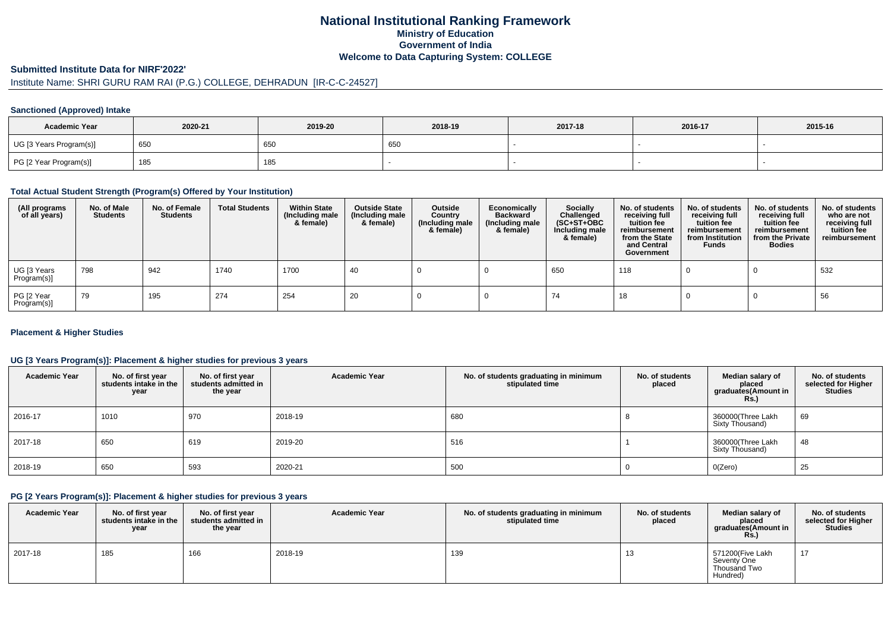## **National Institutional Ranking FrameworkMinistry of Education Government of IndiaWelcome to Data Capturing System: COLLEGE**

#### **Submitted Institute Data for NIRF'2022'**

# Institute Name: SHRI GURU RAM RAI (P.G.) COLLEGE, DEHRADUN [IR-C-C-24527]

### **Sanctioned (Approved) Intake**

| <b>Academic Year</b>    | 2020-21 | 2019-20 | 2018-19 | 2017-18 | 2016-17 | 2015-16 |
|-------------------------|---------|---------|---------|---------|---------|---------|
| UG [3 Years Program(s)] | 650     | 650     | 650     |         |         |         |
| PG [2 Year Program(s)]  | 185     | 185     |         |         |         |         |

#### **Total Actual Student Strength (Program(s) Offered by Your Institution)**

| (All programs<br>of all years) | No. of Male<br><b>Students</b> | No. of Female<br><b>Students</b> | <b>Total Students</b> | <b>Within State</b><br>(Including male<br>& female) | <b>Outside State</b><br>(Including male<br>& female) | Outside<br>Country<br>(Including male<br>& female) | Economically<br><b>Backward</b><br>(Including male<br>& female) | <b>Socially</b><br>Challenged<br>$(SC+ST+OBC)$<br>Including male<br>& female) | No. of students<br>receiving full<br>tuition fee<br>reimbursement<br>from the State<br>and Central<br>Government | No. of students<br>receiving full<br>tuition fee<br>reimbursement<br>from Institution<br><b>Funds</b> | No. of students<br>receiving full<br>tuition fee<br>reimbursement<br>from the Private<br><b>Bodies</b> | No. of students<br>who are not<br>receiving full<br>tuition fee<br>reimbursement |
|--------------------------------|--------------------------------|----------------------------------|-----------------------|-----------------------------------------------------|------------------------------------------------------|----------------------------------------------------|-----------------------------------------------------------------|-------------------------------------------------------------------------------|------------------------------------------------------------------------------------------------------------------|-------------------------------------------------------------------------------------------------------|--------------------------------------------------------------------------------------------------------|----------------------------------------------------------------------------------|
| UG [3 Years<br>Program(s)]     | 798                            | 942                              | 1740                  | 1700                                                | 40                                                   |                                                    |                                                                 | 650                                                                           | 118                                                                                                              |                                                                                                       |                                                                                                        | 532                                                                              |
| PG [2 Year<br>Program(s)       | 79                             | 195                              | 274                   | 254                                                 | 20                                                   |                                                    |                                                                 | 74                                                                            | 18                                                                                                               |                                                                                                       |                                                                                                        | 56                                                                               |

### **Placement & Higher Studies**

### **UG [3 Years Program(s)]: Placement & higher studies for previous 3 years**

| <b>Academic Year</b> | No. of first year<br>students intake in the<br>year | No. of first year<br>students admitted in<br>the year | <b>Academic Year</b> | No. of students graduating in minimum<br>stipulated time | No. of students<br>placed | Median salary of<br>placed<br>graduates(Amount in<br>Rs. | No. of students<br>selected for Higher<br><b>Studies</b> |
|----------------------|-----------------------------------------------------|-------------------------------------------------------|----------------------|----------------------------------------------------------|---------------------------|----------------------------------------------------------|----------------------------------------------------------|
| 2016-17              | 1010                                                | 970                                                   | 2018-19              | 680                                                      |                           | 360000(Three Lakh<br>Sixty Thousand)                     | 69                                                       |
| 2017-18              | 650                                                 | 619                                                   | 2019-20              | 516                                                      |                           | 360000(Three Lakh<br>Sixty Thousand)                     | 48                                                       |
| 2018-19              | 650                                                 | 593                                                   | 2020-21              | 500                                                      |                           | O(Zero)                                                  | 25                                                       |

### **PG [2 Years Program(s)]: Placement & higher studies for previous 3 years**

| <b>Academic Year</b> | No. of first vear<br>students intake in the<br>year | No. of first vear<br>students admitted in<br>the year | <b>Academic Year</b> | No. of students graduating in minimum<br>stipulated time | No. of students<br>placed | Median salary of<br>placed<br>araduates(Amount in<br><b>Rs.</b> ) | No. of students<br>selected for Higher<br><b>Studies</b> |
|----------------------|-----------------------------------------------------|-------------------------------------------------------|----------------------|----------------------------------------------------------|---------------------------|-------------------------------------------------------------------|----------------------------------------------------------|
| 2017-18              | 185                                                 | 166                                                   | 2018-19              | 139                                                      | ں ا                       | 571200(Five Lakh<br>Seventy One<br>Thousand Two<br>Hundred)       | 17                                                       |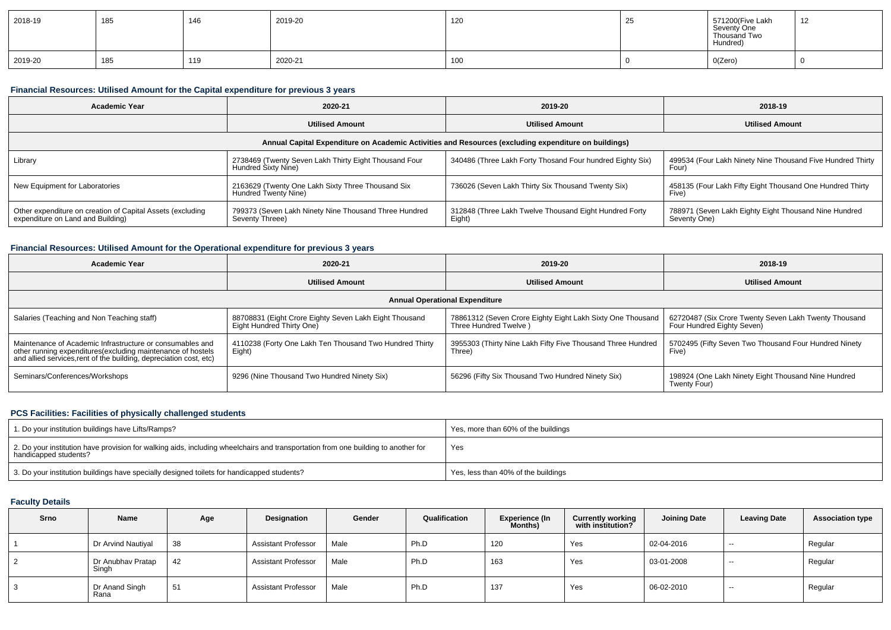| 2018-19 | 185 | 146 | 2019-20 | 120 | ںے | 571200(Five Lakh<br>Seventy One<br>Thousand Two<br>Hundred) | $\overline{A}$<br>14 |
|---------|-----|-----|---------|-----|----|-------------------------------------------------------------|----------------------|
| 2019-20 | 185 | 119 | 2020-21 | 100 |    | O(Zero)                                                     |                      |

### **Financial Resources: Utilised Amount for the Capital expenditure for previous 3 years**

| <b>Academic Year</b>                                                                                 | 2020-21                                                                      |                                                                  | 2018-19                                                               |  |  |  |  |  |  |
|------------------------------------------------------------------------------------------------------|------------------------------------------------------------------------------|------------------------------------------------------------------|-----------------------------------------------------------------------|--|--|--|--|--|--|
|                                                                                                      | <b>Utilised Amount</b>                                                       | <b>Utilised Amount</b>                                           | <b>Utilised Amount</b>                                                |  |  |  |  |  |  |
| Annual Capital Expenditure on Academic Activities and Resources (excluding expenditure on buildings) |                                                                              |                                                                  |                                                                       |  |  |  |  |  |  |
| Library                                                                                              | 2738469 (Twenty Seven Lakh Thirty Eight Thousand Four<br>Hundred Sixty Nine) | 340486 (Three Lakh Forty Thosand Four hundred Eighty Six)        | 499534 (Four Lakh Ninety Nine Thousand Five Hundred Thirty<br>Four)   |  |  |  |  |  |  |
| New Equipment for Laboratories                                                                       | 2163629 (Twenty One Lakh Sixty Three Thousand Six<br>Hundred Twenty Nine)    | 736026 (Seven Lakh Thirty Six Thousand Twenty Six)               | 458135 (Four Lakh Fifty Eight Thousand One Hundred Thirty<br>Five     |  |  |  |  |  |  |
| Other expenditure on creation of Capital Assets (excluding<br>expenditure on Land and Building)      | 799373 (Seven Lakh Ninety Nine Thousand Three Hundred<br>Seventy Threee)     | 312848 (Three Lakh Twelve Thousand Eight Hundred Forty<br>Eight) | 788971 (Seven Lakh Eighty Eight Thousand Nine Hundred<br>Seventy One) |  |  |  |  |  |  |

### **Financial Resources: Utilised Amount for the Operational expenditure for previous 3 years**

| <b>Academic Year</b>                                                                                                                                                                            | 2020-21                                                                             | 2019-20                                                                             | 2018-19                                                                             |  |  |
|-------------------------------------------------------------------------------------------------------------------------------------------------------------------------------------------------|-------------------------------------------------------------------------------------|-------------------------------------------------------------------------------------|-------------------------------------------------------------------------------------|--|--|
|                                                                                                                                                                                                 | <b>Utilised Amount</b>                                                              | <b>Utilised Amount</b>                                                              | <b>Utilised Amount</b>                                                              |  |  |
|                                                                                                                                                                                                 |                                                                                     | <b>Annual Operational Expenditure</b>                                               |                                                                                     |  |  |
| Salaries (Teaching and Non Teaching staff)                                                                                                                                                      | 88708831 (Eight Crore Eighty Seven Lakh Eight Thousand<br>Eight Hundred Thirty One) | 78861312 (Seven Crore Eighty Eight Lakh Sixty One Thousand<br>Three Hundred Twelve) | 62720487 (Six Crore Twenty Seven Lakh Twenty Thousand<br>Four Hundred Eighty Seven) |  |  |
| Maintenance of Academic Infrastructure or consumables and<br>other running expenditures (excluding maintenance of hostels<br>and allied services, rent of the building, depreciation cost, etc) | 4110238 (Forty One Lakh Ten Thousand Two Hundred Thirty<br>Eight)                   | 3955303 (Thirty Nine Lakh Fifty Five Thousand Three Hundred<br>Three)               | 5702495 (Fifty Seven Two Thousand Four Hundred Ninety<br>Five)                      |  |  |
| Seminars/Conferences/Workshops                                                                                                                                                                  | 9296 (Nine Thousand Two Hundred Ninety Six)                                         | 56296 (Fifty Six Thousand Two Hundred Ninety Six)                                   | 198924 (One Lakh Ninety Eight Thousand Nine Hundred<br>Twenty Four)                 |  |  |

### **PCS Facilities: Facilities of physically challenged students**

| 1. Do your institution buildings have Lifts/Ramps?                                                                                                         | Yes, more than 60% of the buildings |
|------------------------------------------------------------------------------------------------------------------------------------------------------------|-------------------------------------|
| 2. Do your institution have provision for walking aids, including wheelchairs and transportation from one building to another for<br>handicapped students? | Yes                                 |
| 3. Do your institution buildings have specially designed toilets for handicapped students?                                                                 | Yes, less than 40% of the buildings |

### **Faculty Details**

| <b>Srno</b> | Name                       | Age | Designation                | Gender | Qualification | Experience (In<br>Months) | <b>Currently working</b><br>with institution? | <b>Joining Date</b> | <b>Leaving Date</b> | <b>Association type</b> |
|-------------|----------------------------|-----|----------------------------|--------|---------------|---------------------------|-----------------------------------------------|---------------------|---------------------|-------------------------|
|             | Dr Arvind Nautiyal         | 38  | <b>Assistant Professor</b> | Male   | Ph.D          | 120                       | Yes                                           | 02-04-2016          | $\sim$              | Regular                 |
|             | Dr Anubhav Pratap<br>Singh | 42  | <b>Assistant Professor</b> | Male   | Ph.D          | 163                       | Yes                                           | 03-01-2008          | $- -$               | Regular                 |
|             | Dr Anand Singh<br>Rana     | 51  | <b>Assistant Professor</b> | Male   | Ph.D          | 137                       | Yes                                           | 06-02-2010          | $- -$               | Regular                 |